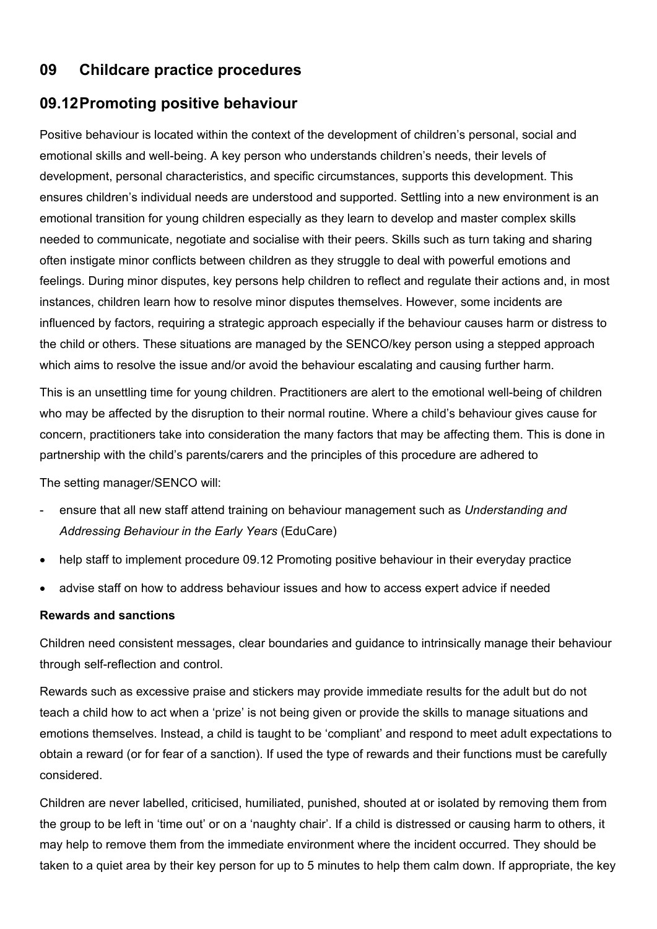# **09 Childcare practice procedures**

## **09.12 Promoting positive behaviour**

Positive behaviour is located within the context of the development of children's personal, social and emotional skills and well-being. A key person who understands children's needs, their levels of development, personal characteristics, and specific circumstances, supports this development. This ensures children's individual needs are understood and supported. Settling into a new environment is an emotional transition for young children especially as they learn to develop and master complex skills needed to communicate, negotiate and socialise with their peers. Skills such as turn taking and sharing often instigate minor conflicts between children as they struggle to deal with powerful emotions and feelings. During minor disputes, key persons help children to reflect and regulate their actions and, in most instances, children learn how to resolve minor disputes themselves. However, some incidents are influenced by factors, requiring a strategic approach especially if the behaviour causes harm or distress to the child or others. These situations are managed by the SENCO/key person using a stepped approach which aims to resolve the issue and/or avoid the behaviour escalating and causing further harm.

This is an unsettling time for young children. Practitioners are alert to the emotional well-being of children who may be affected by the disruption to their normal routine. Where a child's behaviour gives cause for concern, practitioners take into consideration the many factors that may be affecting them. This is done in partnership with the child's parents/carers and the principles of this procedure are adhered to

#### The setting manager/SENCO will:

- ensure that all new staff attend training on behaviour management such as *Understanding and Addressing Behaviour in the Early Years* (EduCare)
- help staff to implement procedure 09.12 Promoting positive behaviour in their everyday practice
- advise staff on how to address behaviour issues and how to access expert advice if needed

#### **Rewards and sanctions**

Children need consistent messages, clear boundaries and guidance to intrinsically manage their behaviour through self-reflection and control.

Rewards such as excessive praise and stickers may provide immediate results for the adult but do not teach a child how to act when a 'prize' is not being given or provide the skills to manage situations and emotions themselves. Instead, a child is taught to be 'compliant' and respond to meet adult expectations to obtain a reward (or for fear of a sanction). If used the type of rewards and their functions must be carefully considered.

Children are never labelled, criticised, humiliated, punished, shouted at or isolated by removing them from the group to be left in 'time out' or on a 'naughty chair'. If a child is distressed or causing harm to others, it may help to remove them from the immediate environment where the incident occurred. They should be taken to a quiet area by their key person for up to 5 minutes to help them calm down. If appropriate, the key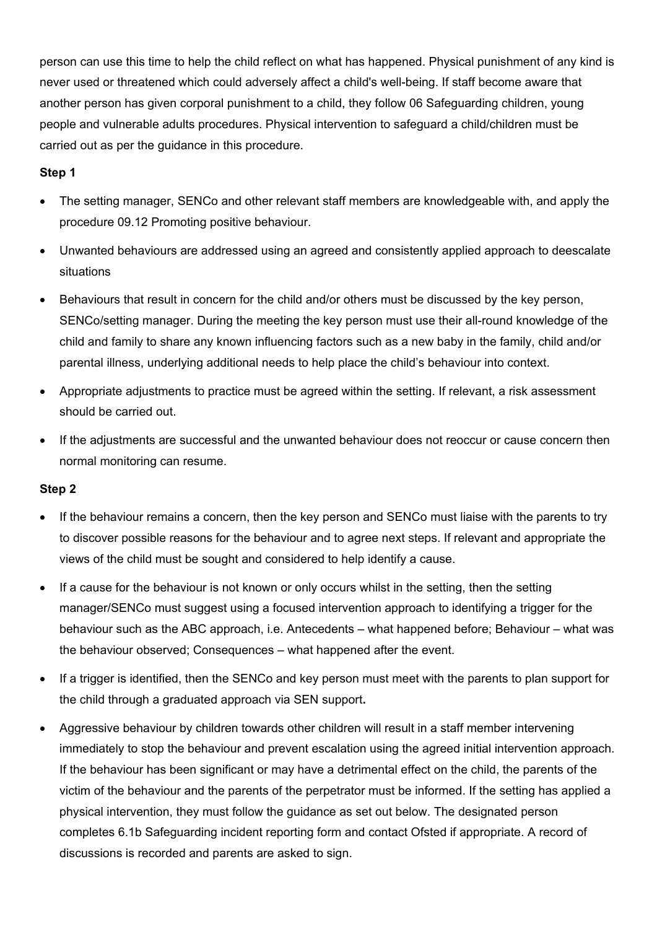person can use this time to help the child reflect on what has happened. Physical punishment of any kind is never used or threatened which could adversely affect a child's well-being. If staff become aware that another person has given corporal punishment to a child, they follow 06 Safeguarding children, young people and vulnerable adults procedures. Physical intervention to safeguard a child/children must be carried out as per the guidance in this procedure.

## **Step 1**

- The setting manager, SENCo and other relevant staff members are knowledgeable with, and apply the procedure 09.12 Promoting positive behaviour.
- Unwanted behaviours are addressed using an agreed and consistently applied approach to deescalate situations
- Behaviours that result in concern for the child and/or others must be discussed by the key person, SENCo/setting manager. During the meeting the key person must use their all-round knowledge of the child and family to share any known influencing factors such as a new baby in the family, child and/or parental illness, underlying additional needs to help place the child's behaviour into context.
- Appropriate adjustments to practice must be agreed within the setting. If relevant, a risk assessment should be carried out.
- If the adjustments are successful and the unwanted behaviour does not reoccur or cause concern then normal monitoring can resume.

#### **Step 2**

- If the behaviour remains a concern, then the key person and SENCo must liaise with the parents to try to discover possible reasons for the behaviour and to agree next steps. If relevant and appropriate the views of the child must be sought and considered to help identify a cause.
- If a cause for the behaviour is not known or only occurs whilst in the setting, then the setting manager/SENCo must suggest using a focused intervention approach to identifying a trigger for the behaviour such as the ABC approach, i.e. Antecedents – what happened before; Behaviour – what was the behaviour observed; Consequences – what happened after the event.
- If a trigger is identified, then the SENCo and key person must meet with the parents to plan support for the child through a graduated approach via SEN support**.**
- Aggressive behaviour by children towards other children will result in a staff member intervening immediately to stop the behaviour and prevent escalation using the agreed initial intervention approach. If the behaviour has been significant or may have a detrimental effect on the child, the parents of the victim of the behaviour and the parents of the perpetrator must be informed. If the setting has applied a physical intervention, they must follow the guidance as set out below. The designated person completes 6.1b Safeguarding incident reporting form and contact Ofsted if appropriate. A record of discussions is recorded and parents are asked to sign.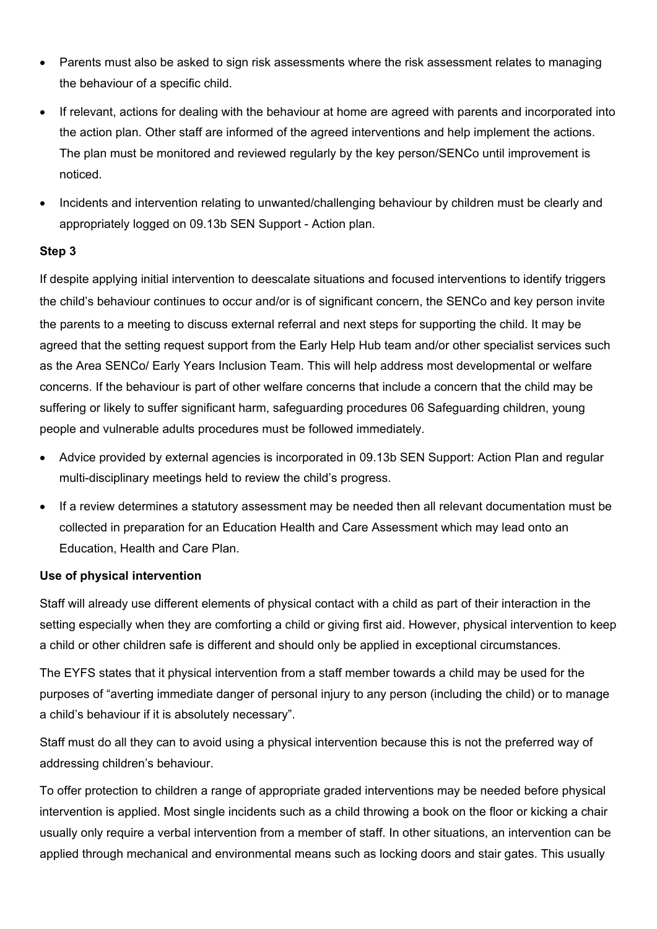- Parents must also be asked to sign risk assessments where the risk assessment relates to managing the behaviour of a specific child.
- If relevant, actions for dealing with the behaviour at home are agreed with parents and incorporated into the action plan. Other staff are informed of the agreed interventions and help implement the actions. The plan must be monitored and reviewed regularly by the key person/SENCo until improvement is noticed.
- Incidents and intervention relating to unwanted/challenging behaviour by children must be clearly and appropriately logged on 09.13b SEN Support - Action plan.

### **Step 3**

If despite applying initial intervention to deescalate situations and focused interventions to identify triggers the child's behaviour continues to occur and/or is of significant concern, the SENCo and key person invite the parents to a meeting to discuss external referral and next steps for supporting the child. It may be agreed that the setting request support from the Early Help Hub team and/or other specialist services such as the Area SENCo/ Early Years Inclusion Team. This will help address most developmental or welfare concerns. If the behaviour is part of other welfare concerns that include a concern that the child may be suffering or likely to suffer significant harm, safeguarding procedures 06 Safeguarding children, young people and vulnerable adults procedures must be followed immediately.

- Advice provided by external agencies is incorporated in 09.13b SEN Support: Action Plan and regular multi-disciplinary meetings held to review the child's progress.
- If a review determines a statutory assessment may be needed then all relevant documentation must be collected in preparation for an Education Health and Care Assessment which may lead onto an Education, Health and Care Plan.

#### **Use of physical intervention**

Staff will already use different elements of physical contact with a child as part of their interaction in the setting especially when they are comforting a child or giving first aid. However, physical intervention to keep a child or other children safe is different and should only be applied in exceptional circumstances.

The EYFS states that it physical intervention from a staff member towards a child may be used for the purposes of "averting immediate danger of personal injury to any person (including the child) or to manage a child's behaviour if it is absolutely necessary".

Staff must do all they can to avoid using a physical intervention because this is not the preferred way of addressing children's behaviour.

To offer protection to children a range of appropriate graded interventions may be needed before physical intervention is applied. Most single incidents such as a child throwing a book on the floor or kicking a chair usually only require a verbal intervention from a member of staff. In other situations, an intervention can be applied through mechanical and environmental means such as locking doors and stair gates. This usually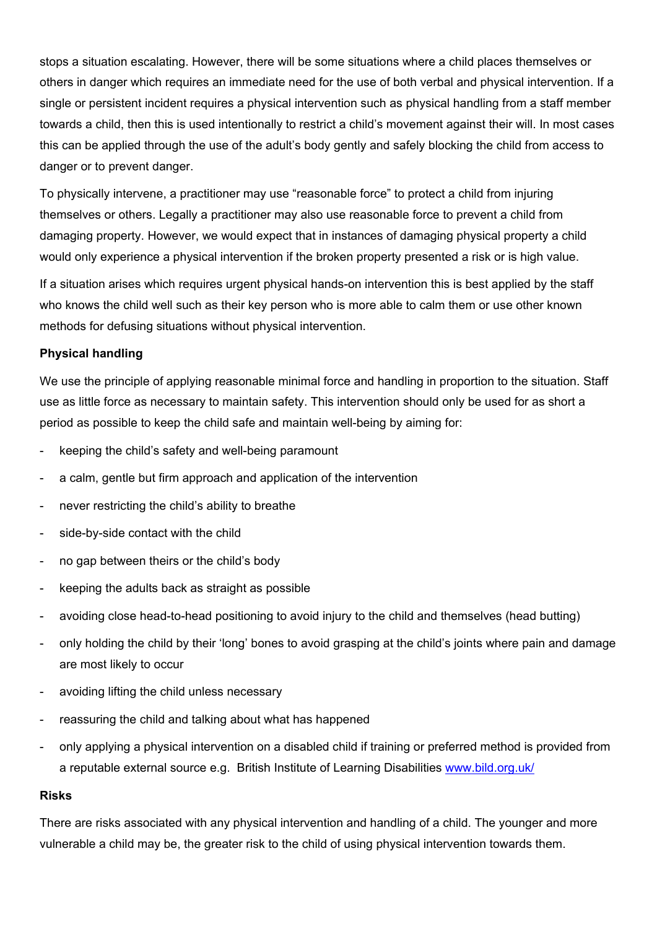stops a situation escalating. However, there will be some situations where a child places themselves or others in danger which requires an immediate need for the use of both verbal and physical intervention. If a single or persistent incident requires a physical intervention such as physical handling from a staff member towards a child, then this is used intentionally to restrict a child's movement against their will. In most cases this can be applied through the use of the adult's body gently and safely blocking the child from access to danger or to prevent danger.

To physically intervene, a practitioner may use "reasonable force" to protect a child from injuring themselves or others. Legally a practitioner may also use reasonable force to prevent a child from damaging property. However, we would expect that in instances of damaging physical property a child would only experience a physical intervention if the broken property presented a risk or is high value.

If a situation arises which requires urgent physical hands-on intervention this is best applied by the staff who knows the child well such as their key person who is more able to calm them or use other known methods for defusing situations without physical intervention.

#### **Physical handling**

We use the principle of applying reasonable minimal force and handling in proportion to the situation. Staff use as little force as necessary to maintain safety. This intervention should only be used for as short a period as possible to keep the child safe and maintain well-being by aiming for:

- keeping the child's safety and well-being paramount
- a calm, gentle but firm approach and application of the intervention
- never restricting the child's ability to breathe
- side-by-side contact with the child
- no gap between theirs or the child's body
- keeping the adults back as straight as possible
- avoiding close head-to-head positioning to avoid injury to the child and themselves (head butting)
- only holding the child by their 'long' bones to avoid grasping at the child's joints where pain and damage are most likely to occur
- avoiding lifting the child unless necessary
- reassuring the child and talking about what has happened
- only applying a physical intervention on a disabled child if training or preferred method is provided from a reputable external source e.g. British Institute of Learning Disabilities www.bild.org.uk/

#### **Risks**

There are risks associated with any physical intervention and handling of a child. The younger and more vulnerable a child may be, the greater risk to the child of using physical intervention towards them.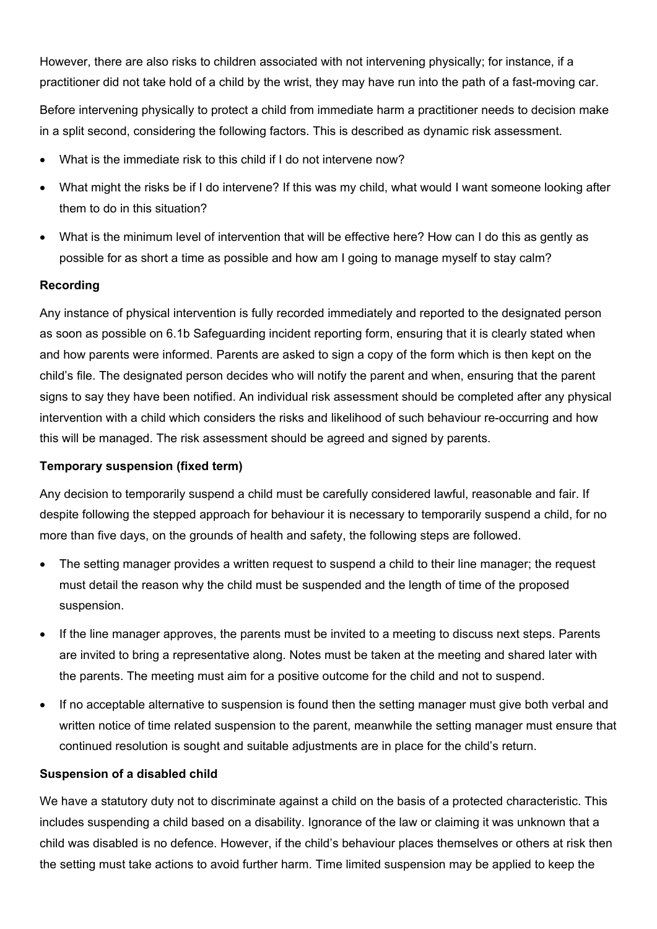However, there are also risks to children associated with not intervening physically; for instance, if a practitioner did not take hold of a child by the wrist, they may have run into the path of a fast-moving car.

Before intervening physically to protect a child from immediate harm a practitioner needs to decision make in a split second, considering the following factors. This is described as dynamic risk assessment.

- What is the immediate risk to this child if I do not intervene now?
- What might the risks be if I do intervene? If this was my child, what would I want someone looking after them to do in this situation?
- What is the minimum level of intervention that will be effective here? How can I do this as gently as possible for as short a time as possible and how am I going to manage myself to stay calm?

## **Recording**

Any instance of physical intervention is fully recorded immediately and reported to the designated person as soon as possible on 6.1b Safeguarding incident reporting form, ensuring that it is clearly stated when and how parents were informed. Parents are asked to sign a copy of the form which is then kept on the child's file. The designated person decides who will notify the parent and when, ensuring that the parent signs to say they have been notified. An individual risk assessment should be completed after any physical intervention with a child which considers the risks and likelihood of such behaviour re-occurring and how this will be managed. The risk assessment should be agreed and signed by parents.

## **Temporary suspension (fixed term)**

Any decision to temporarily suspend a child must be carefully considered lawful, reasonable and fair. If despite following the stepped approach for behaviour it is necessary to temporarily suspend a child, for no more than five days, on the grounds of health and safety, the following steps are followed.

- The setting manager provides a written request to suspend a child to their line manager; the request must detail the reason why the child must be suspended and the length of time of the proposed suspension.
- If the line manager approves, the parents must be invited to a meeting to discuss next steps. Parents are invited to bring a representative along. Notes must be taken at the meeting and shared later with the parents. The meeting must aim for a positive outcome for the child and not to suspend.
- If no acceptable alternative to suspension is found then the setting manager must give both verbal and written notice of time related suspension to the parent, meanwhile the setting manager must ensure that continued resolution is sought and suitable adjustments are in place for the child's return.

## **Suspension of a disabled child**

We have a statutory duty not to discriminate against a child on the basis of a protected characteristic. This includes suspending a child based on a disability. Ignorance of the law or claiming it was unknown that a child was disabled is no defence. However, if the child's behaviour places themselves or others at risk then the setting must take actions to avoid further harm. Time limited suspension may be applied to keep the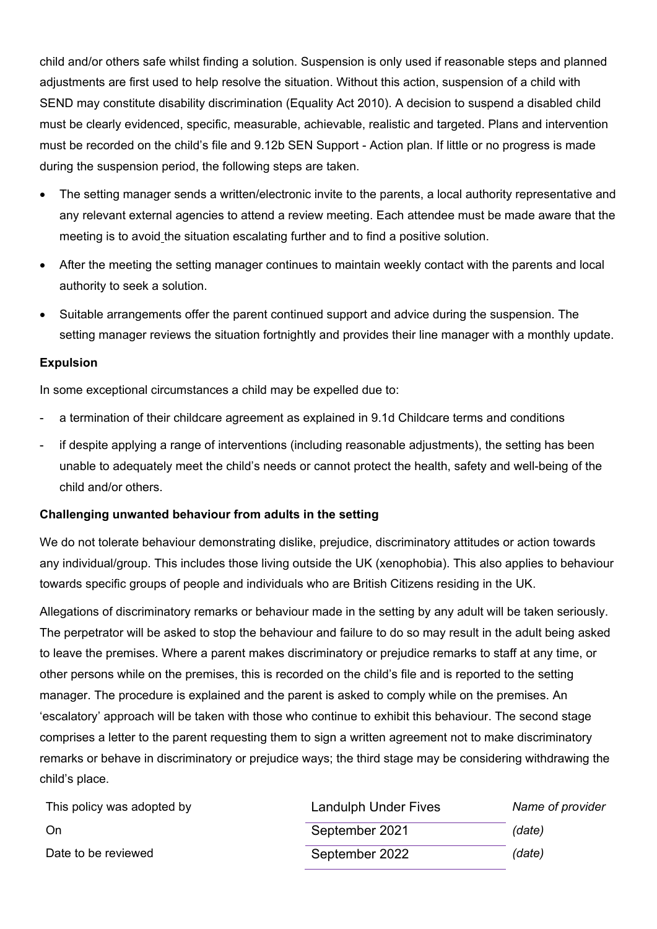child and/or others safe whilst finding a solution. Suspension is only used if reasonable steps and planned adjustments are first used to help resolve the situation. Without this action, suspension of a child with SEND may constitute disability discrimination (Equality Act 2010). A decision to suspend a disabled child must be clearly evidenced, specific, measurable, achievable, realistic and targeted. Plans and intervention must be recorded on the child's file and 9.12b SEN Support - Action plan. If little or no progress is made during the suspension period, the following steps are taken.

- The setting manager sends a written/electronic invite to the parents, a local authority representative and any relevant external agencies to attend a review meeting. Each attendee must be made aware that the meeting is to avoid the situation escalating further and to find a positive solution.
- After the meeting the setting manager continues to maintain weekly contact with the parents and local authority to seek a solution.
- Suitable arrangements offer the parent continued support and advice during the suspension. The setting manager reviews the situation fortnightly and provides their line manager with a monthly update.

#### **Expulsion**

In some exceptional circumstances a child may be expelled due to:

- a termination of their childcare agreement as explained in 9.1d Childcare terms and conditions
- if despite applying a range of interventions (including reasonable adjustments), the setting has been unable to adequately meet the child's needs or cannot protect the health, safety and well-being of the child and/or others.

#### **Challenging unwanted behaviour from adults in the setting**

We do not tolerate behaviour demonstrating dislike, prejudice, discriminatory attitudes or action towards any individual/group. This includes those living outside the UK (xenophobia). This also applies to behaviour towards specific groups of people and individuals who are British Citizens residing in the UK.

Allegations of discriminatory remarks or behaviour made in the setting by any adult will be taken seriously. The perpetrator will be asked to stop the behaviour and failure to do so may result in the adult being asked to leave the premises. Where a parent makes discriminatory or prejudice remarks to staff at any time, or other persons while on the premises, this is recorded on the child's file and is reported to the setting manager. The procedure is explained and the parent is asked to comply while on the premises. An 'escalatory' approach will be taken with those who continue to exhibit this behaviour. The second stage comprises a letter to the parent requesting them to sign a written agreement not to make discriminatory remarks or behave in discriminatory or prejudice ways; the third stage may be considering withdrawing the child's place.

| This policy was adopted by | <b>Landulph Under Fives</b> | Name of provider |
|----------------------------|-----------------------------|------------------|
| . On                       | September 2021              | (date)           |
| Date to be reviewed        | September 2022              | (date)           |